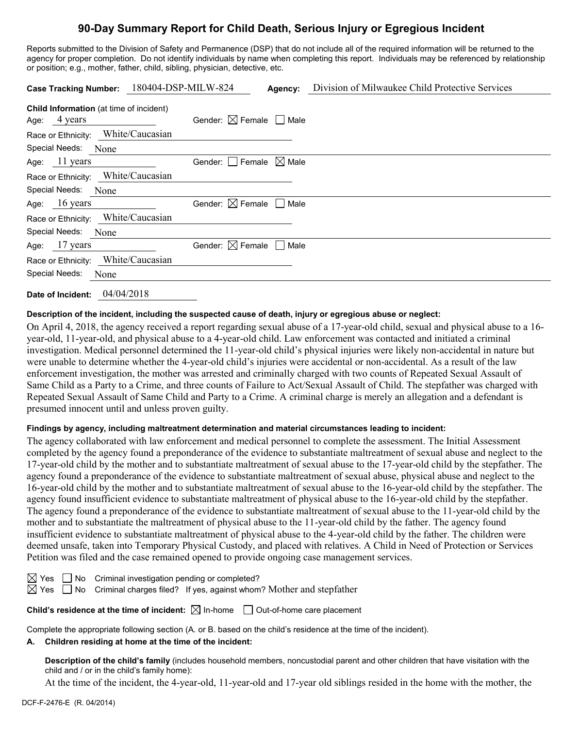# **90-Day Summary Report for Child Death, Serious Injury or Egregious Incident**

Reports submitted to the Division of Safety and Permanence (DSP) that do not include all of the required information will be returned to the agency for proper completion. Do not identify individuals by name when completing this report. Individuals may be referenced by relationship or position; e.g., mother, father, child, sibling, physician, detective, etc.

| 180404-DSP-MILW-824<br><b>Case Tracking Number:</b>            | Agency:                                | Division of Milwaukee Child Protective Services |
|----------------------------------------------------------------|----------------------------------------|-------------------------------------------------|
| <b>Child Information</b> (at time of incident)<br>Age: 4 years | Gender: $\boxtimes$ Female $\Box$ Male |                                                 |
| Race or Ethnicity: White/Caucasian                             |                                        |                                                 |
| Special Needs: None                                            |                                        |                                                 |
| Age: $11$ years                                                | Gender: $ $   Female $\boxtimes$ Male  |                                                 |
| Race or Ethnicity: White/Caucasian                             |                                        |                                                 |
| Special Needs: None                                            |                                        |                                                 |
| Age: $16 \text{ years}$                                        | Gender: $\boxtimes$ Female<br>  Male   |                                                 |
| Race or Ethnicity: White/Caucasian                             |                                        |                                                 |
| Special Needs:<br>None                                         |                                        |                                                 |
| Age: $17$ years                                                | Gender: $\boxtimes$ Female<br>Male     |                                                 |
| Race or Ethnicity: White/Caucasian                             |                                        |                                                 |
| Special Needs:<br>None                                         |                                        |                                                 |
| 04/04/2018<br>Date of Incident:                                |                                        |                                                 |

# **Description of the incident, including the suspected cause of death, injury or egregious abuse or neglect:**

On April 4, 2018, the agency received a report regarding sexual abuse of a 17-year-old child, sexual and physical abuse to a 16 year-old, 11-year-old, and physical abuse to a 4-year-old child. Law enforcement was contacted and initiated a criminal investigation. Medical personnel determined the 11-year-old child's physical injuries were likely non-accidental in nature but were unable to determine whether the 4-year-old child's injuries were accidental or non-accidental. As a result of the law enforcement investigation, the mother was arrested and criminally charged with two counts of Repeated Sexual Assault of Same Child as a Party to a Crime, and three counts of Failure to Act/Sexual Assault of Child. The stepfather was charged with Repeated Sexual Assault of Same Child and Party to a Crime. A criminal charge is merely an allegation and a defendant is presumed innocent until and unless proven guilty.

## **Findings by agency, including maltreatment determination and material circumstances leading to incident:**

The agency collaborated with law enforcement and medical personnel to complete the assessment. The Initial Assessment completed by the agency found a preponderance of the evidence to substantiate maltreatment of sexual abuse and neglect to the 17-year-old child by the mother and to substantiate maltreatment of sexual abuse to the 17-year-old child by the stepfather. The agency found a preponderance of the evidence to substantiate maltreatment of sexual abuse, physical abuse and neglect to the 16-year-old child by the mother and to substantiate maltreatment of sexual abuse to the 16-year-old child by the stepfather. The agency found insufficient evidence to substantiate maltreatment of physical abuse to the 16-year-old child by the stepfather. The agency found a preponderance of the evidence to substantiate maltreatment of sexual abuse to the 11-year-old child by the mother and to substantiate the maltreatment of physical abuse to the 11-year-old child by the father. The agency found insufficient evidence to substantiate maltreatment of physical abuse to the 4-year-old child by the father. The children were deemed unsafe, taken into Temporary Physical Custody, and placed with relatives. A Child in Need of Protection or Services Petition was filed and the case remained opened to provide ongoing case management services.

|  | $\boxtimes$ Yes $\Box$ No Criminal investigation pending or completed? |  |
|--|------------------------------------------------------------------------|--|
|  |                                                                        |  |

 $\boxtimes$  Yes  $\Box$  No Criminal charges filed? If yes, against whom? Mother and stepfather

**Child's residence at the time of incident:**  $\boxtimes$  In-home  $\Box$  Out-of-home care placement

Complete the appropriate following section (A. or B. based on the child's residence at the time of the incident).

## **A. Children residing at home at the time of the incident:**

**Description of the child's family** (includes household members, noncustodial parent and other children that have visitation with the child and / or in the child's family home):

At the time of the incident, the 4-year-old, 11-year-old and 17-year old siblings resided in the home with the mother, the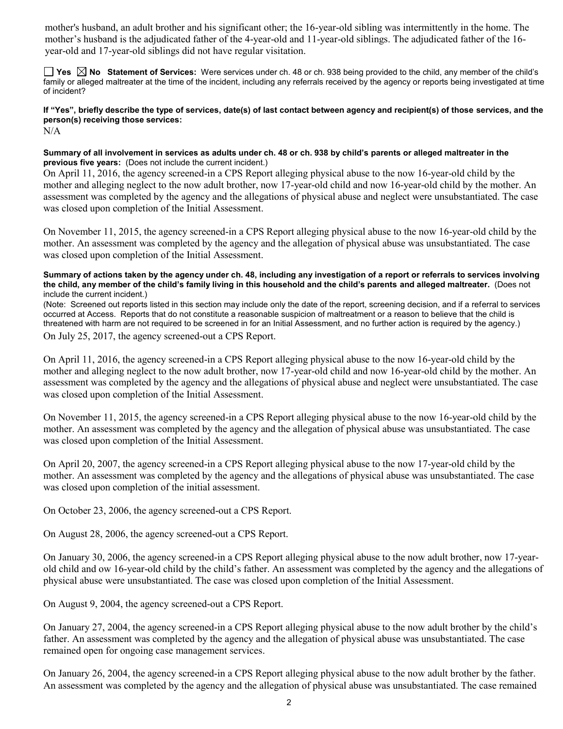mother's husband, an adult brother and his significant other; the 16-year-old sibling was intermittently in the home. The mother's husband is the adjudicated father of the 4-year-old and 11-year-old siblings. The adjudicated father of the 16 year-old and 17-year-old siblings did not have regular visitation.

**Yes No Statement of Services:** Were services under ch. 48 or ch. 938 being provided to the child, any member of the child's family or alleged maltreater at the time of the incident, including any referrals received by the agency or reports being investigated at time of incident?

**If "Yes", briefly describe the type of services, date(s) of last contact between agency and recipient(s) of those services, and the person(s) receiving those services:** N/A

**Summary of all involvement in services as adults under ch. 48 or ch. 938 by child's parents or alleged maltreater in the previous five years:** (Does not include the current incident.)

On April 11, 2016, the agency screened-in a CPS Report alleging physical abuse to the now 16-year-old child by the mother and alleging neglect to the now adult brother, now 17-year-old child and now 16-year-old child by the mother. An assessment was completed by the agency and the allegations of physical abuse and neglect were unsubstantiated. The case was closed upon completion of the Initial Assessment.

On November 11, 2015, the agency screened-in a CPS Report alleging physical abuse to the now 16-year-old child by the mother. An assessment was completed by the agency and the allegation of physical abuse was unsubstantiated. The case was closed upon completion of the Initial Assessment.

**Summary of actions taken by the agency under ch. 48, including any investigation of a report or referrals to services involving the child, any member of the child's family living in this household and the child's parents and alleged maltreater.** (Does not include the current incident.)

(Note: Screened out reports listed in this section may include only the date of the report, screening decision, and if a referral to services occurred at Access. Reports that do not constitute a reasonable suspicion of maltreatment or a reason to believe that the child is threatened with harm are not required to be screened in for an Initial Assessment, and no further action is required by the agency.)

On July 25, 2017, the agency screened-out a CPS Report.

On April 11, 2016, the agency screened-in a CPS Report alleging physical abuse to the now 16-year-old child by the mother and alleging neglect to the now adult brother, now 17-year-old child and now 16-year-old child by the mother. An assessment was completed by the agency and the allegations of physical abuse and neglect were unsubstantiated. The case was closed upon completion of the Initial Assessment.

On November 11, 2015, the agency screened-in a CPS Report alleging physical abuse to the now 16-year-old child by the mother. An assessment was completed by the agency and the allegation of physical abuse was unsubstantiated. The case was closed upon completion of the Initial Assessment.

On April 20, 2007, the agency screened-in a CPS Report alleging physical abuse to the now 17-year-old child by the mother. An assessment was completed by the agency and the allegations of physical abuse was unsubstantiated. The case was closed upon completion of the initial assessment.

On October 23, 2006, the agency screened-out a CPS Report.

On August 28, 2006, the agency screened-out a CPS Report.

On January 30, 2006, the agency screened-in a CPS Report alleging physical abuse to the now adult brother, now 17-yearold child and ow 16-year-old child by the child's father. An assessment was completed by the agency and the allegations of physical abuse were unsubstantiated. The case was closed upon completion of the Initial Assessment.

On August 9, 2004, the agency screened-out a CPS Report.

On January 27, 2004, the agency screened-in a CPS Report alleging physical abuse to the now adult brother by the child's father. An assessment was completed by the agency and the allegation of physical abuse was unsubstantiated. The case remained open for ongoing case management services.

On January 26, 2004, the agency screened-in a CPS Report alleging physical abuse to the now adult brother by the father. An assessment was completed by the agency and the allegation of physical abuse was unsubstantiated. The case remained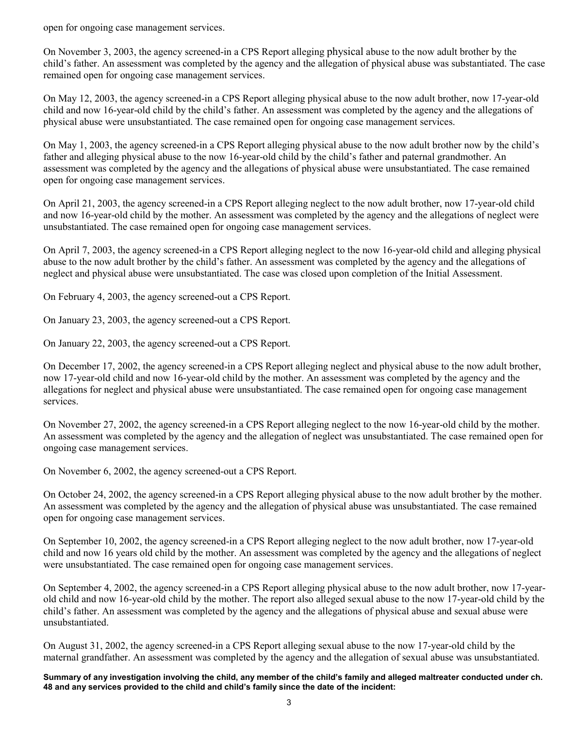open for ongoing case management services.

On November 3, 2003, the agency screened-in a CPS Report alleging physical abuse to the now adult brother by the child's father. An assessment was completed by the agency and the allegation of physical abuse was substantiated. The case remained open for ongoing case management services.

On May 12, 2003, the agency screened-in a CPS Report alleging physical abuse to the now adult brother, now 17-year-old child and now 16-year-old child by the child's father. An assessment was completed by the agency and the allegations of physical abuse were unsubstantiated. The case remained open for ongoing case management services.

On May 1, 2003, the agency screened-in a CPS Report alleging physical abuse to the now adult brother now by the child's father and alleging physical abuse to the now 16-year-old child by the child's father and paternal grandmother. An assessment was completed by the agency and the allegations of physical abuse were unsubstantiated. The case remained open for ongoing case management services.

On April 21, 2003, the agency screened-in a CPS Report alleging neglect to the now adult brother, now 17-year-old child and now 16-year-old child by the mother. An assessment was completed by the agency and the allegations of neglect were unsubstantiated. The case remained open for ongoing case management services.

On April 7, 2003, the agency screened-in a CPS Report alleging neglect to the now 16-year-old child and alleging physical abuse to the now adult brother by the child's father. An assessment was completed by the agency and the allegations of neglect and physical abuse were unsubstantiated. The case was closed upon completion of the Initial Assessment.

On February 4, 2003, the agency screened-out a CPS Report.

On January 23, 2003, the agency screened-out a CPS Report.

On January 22, 2003, the agency screened-out a CPS Report.

On December 17, 2002, the agency screened-in a CPS Report alleging neglect and physical abuse to the now adult brother, now 17-year-old child and now 16-year-old child by the mother. An assessment was completed by the agency and the allegations for neglect and physical abuse were unsubstantiated. The case remained open for ongoing case management services.

On November 27, 2002, the agency screened-in a CPS Report alleging neglect to the now 16-year-old child by the mother. An assessment was completed by the agency and the allegation of neglect was unsubstantiated. The case remained open for ongoing case management services.

On November 6, 2002, the agency screened-out a CPS Report.

On October 24, 2002, the agency screened-in a CPS Report alleging physical abuse to the now adult brother by the mother. An assessment was completed by the agency and the allegation of physical abuse was unsubstantiated. The case remained open for ongoing case management services.

On September 10, 2002, the agency screened-in a CPS Report alleging neglect to the now adult brother, now 17-year-old child and now 16 years old child by the mother. An assessment was completed by the agency and the allegations of neglect were unsubstantiated. The case remained open for ongoing case management services.

On September 4, 2002, the agency screened-in a CPS Report alleging physical abuse to the now adult brother, now 17-yearold child and now 16-year-old child by the mother. The report also alleged sexual abuse to the now 17-year-old child by the child's father. An assessment was completed by the agency and the allegations of physical abuse and sexual abuse were unsubstantiated.

On August 31, 2002, the agency screened-in a CPS Report alleging sexual abuse to the now 17-year-old child by the maternal grandfather. An assessment was completed by the agency and the allegation of sexual abuse was unsubstantiated.

**Summary of any investigation involving the child, any member of the child's family and alleged maltreater conducted under ch. 48 and any services provided to the child and child's family since the date of the incident:**